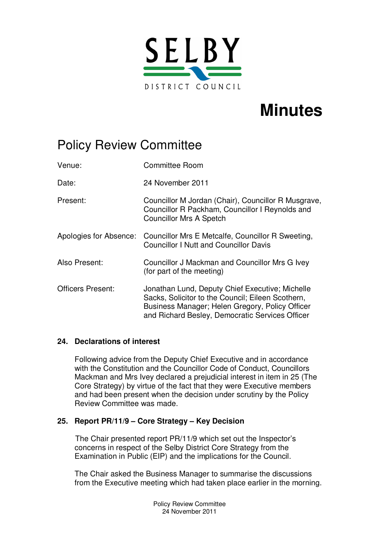

# **Minutes**

## Policy Review Committee

| Venue:                   | <b>Committee Room</b>                                                                                                                                                                                      |
|--------------------------|------------------------------------------------------------------------------------------------------------------------------------------------------------------------------------------------------------|
| Date:                    | 24 November 2011                                                                                                                                                                                           |
| Present:                 | Councillor M Jordan (Chair), Councillor R Musgrave,<br>Councillor R Packham, Councillor I Reynolds and<br><b>Councillor Mrs A Spetch</b>                                                                   |
|                          | Apologies for Absence: Councillor Mrs E Metcalfe, Councillor R Sweeting,<br><b>Councillor I Nutt and Councillor Davis</b>                                                                                  |
| Also Present:            | Councillor J Mackman and Councillor Mrs G Ivey<br>(for part of the meeting)                                                                                                                                |
| <b>Officers Present:</b> | Jonathan Lund, Deputy Chief Executive; Michelle<br>Sacks, Solicitor to the Council; Eileen Scothern,<br>Business Manager; Helen Gregory, Policy Officer<br>and Richard Besley, Democratic Services Officer |

### **24. Declarations of interest**

Following advice from the Deputy Chief Executive and in accordance with the Constitution and the Councillor Code of Conduct, Councillors Mackman and Mrs Ivey declared a prejudicial interest in item in 25 (The Core Strategy) by virtue of the fact that they were Executive members and had been present when the decision under scrutiny by the Policy Review Committee was made.

### **25. Report PR/11/9 – Core Strategy – Key Decision**

The Chair presented report PR/11/9 which set out the Inspector's concerns in respect of the Selby District Core Strategy from the Examination in Public (EIP) and the implications for the Council.

The Chair asked the Business Manager to summarise the discussions from the Executive meeting which had taken place earlier in the morning.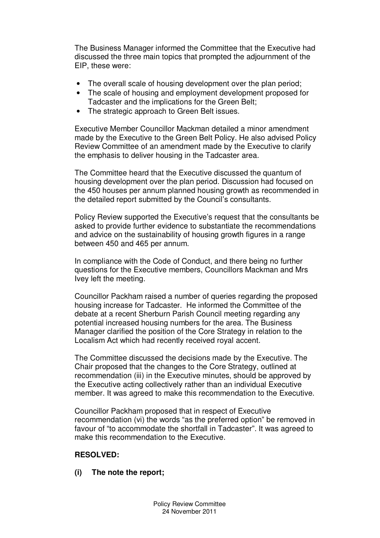The Business Manager informed the Committee that the Executive had discussed the three main topics that prompted the adjournment of the EIP, these were:

- The overall scale of housing development over the plan period;
- The scale of housing and employment development proposed for Tadcaster and the implications for the Green Belt;
- The strategic approach to Green Belt issues.

Executive Member Councillor Mackman detailed a minor amendment made by the Executive to the Green Belt Policy. He also advised Policy Review Committee of an amendment made by the Executive to clarify the emphasis to deliver housing in the Tadcaster area.

The Committee heard that the Executive discussed the quantum of housing development over the plan period. Discussion had focused on the 450 houses per annum planned housing growth as recommended in the detailed report submitted by the Council's consultants.

Policy Review supported the Executive's request that the consultants be asked to provide further evidence to substantiate the recommendations and advice on the sustainability of housing growth figures in a range between 450 and 465 per annum.

In compliance with the Code of Conduct, and there being no further questions for the Executive members, Councillors Mackman and Mrs Ivey left the meeting.

Councillor Packham raised a number of queries regarding the proposed housing increase for Tadcaster. He informed the Committee of the debate at a recent Sherburn Parish Council meeting regarding any potential increased housing numbers for the area. The Business Manager clarified the position of the Core Strategy in relation to the Localism Act which had recently received royal accent.

The Committee discussed the decisions made by the Executive. The Chair proposed that the changes to the Core Strategy, outlined at recommendation (iii) in the Executive minutes, should be approved by the Executive acting collectively rather than an individual Executive member. It was agreed to make this recommendation to the Executive.

Councillor Packham proposed that in respect of Executive recommendation (vi) the words "as the preferred option" be removed in favour of "to accommodate the shortfall in Tadcaster". It was agreed to make this recommendation to the Executive.

### **RESOLVED:**

**(i) The note the report;**